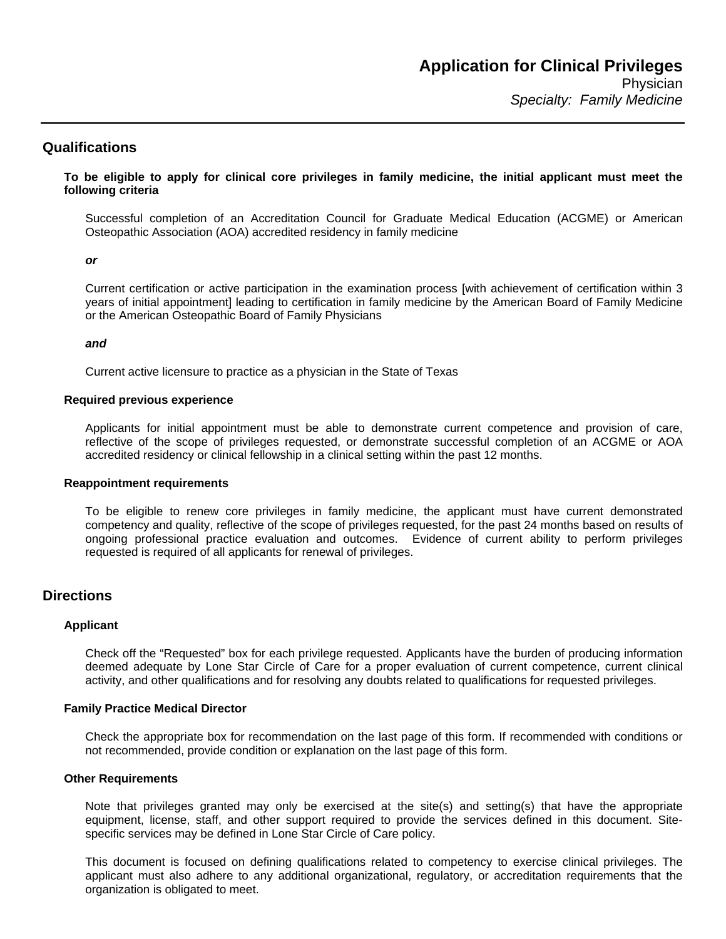## **Qualifications**

**To be eligible to apply for clinical core privileges in family medicine, the initial applicant must meet the following criteria** 

Successful completion of an Accreditation Council for Graduate Medical Education (ACGME) or American Osteopathic Association (AOA) accredited residency in family medicine

#### *or*

Current certification or active participation in the examination process [with achievement of certification within 3 years of initial appointment] leading to certification in family medicine by the American Board of Family Medicine or the American Osteopathic Board of Family Physicians

#### *and*

Current active licensure to practice as a physician in the State of Texas

#### **Required previous experience**

Applicants for initial appointment must be able to demonstrate current competence and provision of care, reflective of the scope of privileges requested, or demonstrate successful completion of an ACGME or AOA accredited residency or clinical fellowship in a clinical setting within the past 12 months.

#### **Reappointment requirements**

To be eligible to renew core privileges in family medicine, the applicant must have current demonstrated competency and quality, reflective of the scope of privileges requested, for the past 24 months based on results of ongoing professional practice evaluation and outcomes. Evidence of current ability to perform privileges requested is required of all applicants for renewal of privileges.

## **Directions**

#### **Applicant**

Check off the "Requested" box for each privilege requested. Applicants have the burden of producing information deemed adequate by Lone Star Circle of Care for a proper evaluation of current competence, current clinical activity, and other qualifications and for resolving any doubts related to qualifications for requested privileges.

#### **Family Practice Medical Director**

Check the appropriate box for recommendation on the last page of this form. If recommended with conditions or not recommended, provide condition or explanation on the last page of this form.

#### **Other Requirements**

Note that privileges granted may only be exercised at the site(s) and setting(s) that have the appropriate equipment, license, staff, and other support required to provide the services defined in this document. Sitespecific services may be defined in Lone Star Circle of Care policy.

This document is focused on defining qualifications related to competency to exercise clinical privileges. The applicant must also adhere to any additional organizational, regulatory, or accreditation requirements that the organization is obligated to meet.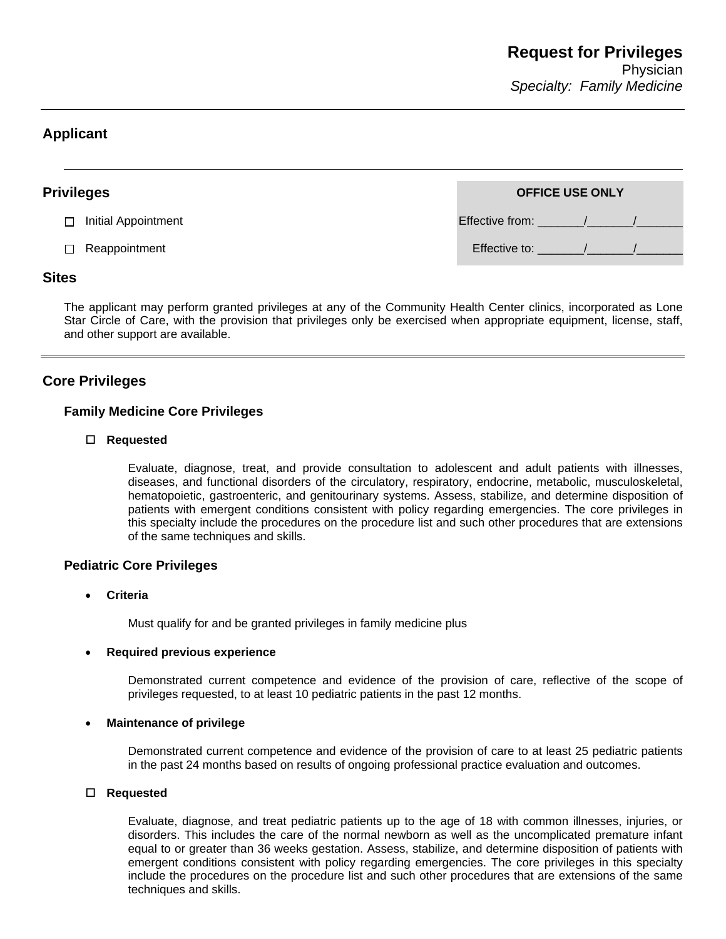# **Applicant**

 $\overline{a}$ 

| <b>Privileges</b> |                     | <b>OFFICE USE ONLY</b> |  |  |
|-------------------|---------------------|------------------------|--|--|
| П                 | Initial Appointment | Effective from: /      |  |  |
| П.                | Reappointment       | Effective to:          |  |  |
| $ -$              |                     |                        |  |  |

## **Sites**

The applicant may perform granted privileges at any of the Community Health Center clinics, incorporated as Lone Star Circle of Care, with the provision that privileges only be exercised when appropriate equipment, license, staff, and other support are available.

# **Core Privileges**

## **Family Medicine Core Privileges**

## **Requested**

Evaluate, diagnose, treat, and provide consultation to adolescent and adult patients with illnesses, diseases, and functional disorders of the circulatory, respiratory, endocrine, metabolic, musculoskeletal, hematopoietic, gastroenteric, and genitourinary systems. Assess, stabilize, and determine disposition of patients with emergent conditions consistent with policy regarding emergencies. The core privileges in this specialty include the procedures on the procedure list and such other procedures that are extensions of the same techniques and skills.

## **Pediatric Core Privileges**

• **Criteria** 

Must qualify for and be granted privileges in family medicine plus

#### • **Required previous experience**

Demonstrated current competence and evidence of the provision of care, reflective of the scope of privileges requested, to at least 10 pediatric patients in the past 12 months.

#### • **Maintenance of privilege**

Demonstrated current competence and evidence of the provision of care to at least 25 pediatric patients in the past 24 months based on results of ongoing professional practice evaluation and outcomes.

#### **Requested**

Evaluate, diagnose, and treat pediatric patients up to the age of 18 with common illnesses, injuries, or disorders. This includes the care of the normal newborn as well as the uncomplicated premature infant equal to or greater than 36 weeks gestation. Assess, stabilize, and determine disposition of patients with emergent conditions consistent with policy regarding emergencies. The core privileges in this specialty include the procedures on the procedure list and such other procedures that are extensions of the same techniques and skills.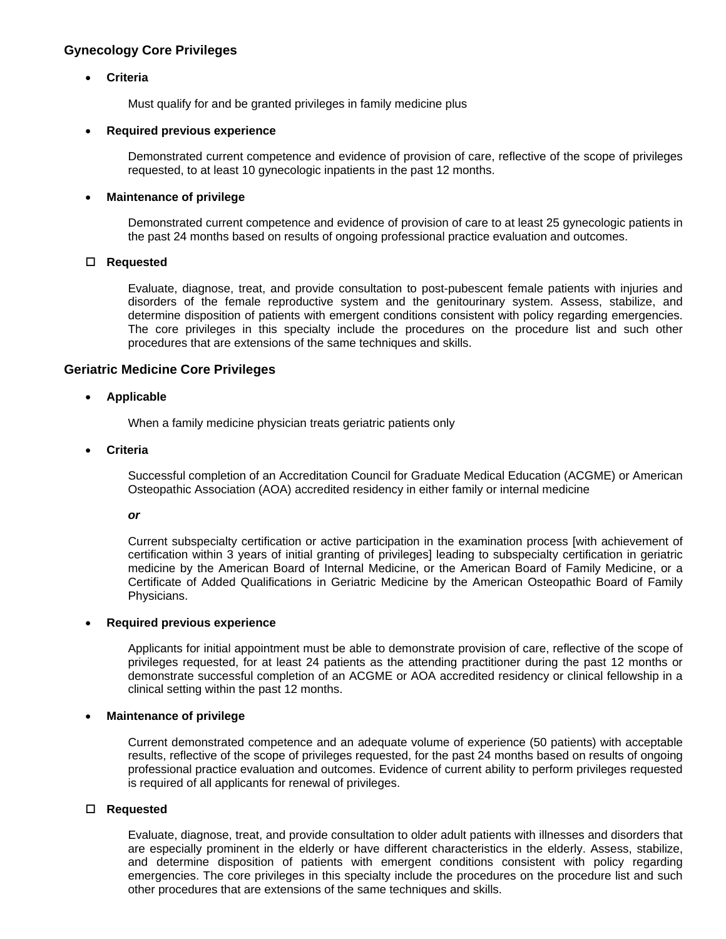## **Gynecology Core Privileges**

## • **Criteria**

Must qualify for and be granted privileges in family medicine plus

#### • **Required previous experience**

Demonstrated current competence and evidence of provision of care, reflective of the scope of privileges requested, to at least 10 gynecologic inpatients in the past 12 months.

#### • **Maintenance of privilege**

Demonstrated current competence and evidence of provision of care to at least 25 gynecologic patients in the past 24 months based on results of ongoing professional practice evaluation and outcomes.

#### **Requested**

Evaluate, diagnose, treat, and provide consultation to post-pubescent female patients with injuries and disorders of the female reproductive system and the genitourinary system. Assess, stabilize, and determine disposition of patients with emergent conditions consistent with policy regarding emergencies. The core privileges in this specialty include the procedures on the procedure list and such other procedures that are extensions of the same techniques and skills.

## **Geriatric Medicine Core Privileges**

### • **Applicable**

When a family medicine physician treats geriatric patients only

#### • **Criteria**

Successful completion of an Accreditation Council for Graduate Medical Education (ACGME) or American Osteopathic Association (AOA) accredited residency in either family or internal medicine

#### *or*

Current subspecialty certification or active participation in the examination process [with achievement of certification within 3 years of initial granting of privileges] leading to subspecialty certification in geriatric medicine by the American Board of Internal Medicine, or the American Board of Family Medicine, or a Certificate of Added Qualifications in Geriatric Medicine by the American Osteopathic Board of Family Physicians.

#### • **Required previous experience**

Applicants for initial appointment must be able to demonstrate provision of care, reflective of the scope of privileges requested, for at least 24 patients as the attending practitioner during the past 12 months or demonstrate successful completion of an ACGME or AOA accredited residency or clinical fellowship in a clinical setting within the past 12 months.

#### • **Maintenance of privilege**

Current demonstrated competence and an adequate volume of experience (50 patients) with acceptable results, reflective of the scope of privileges requested, for the past 24 months based on results of ongoing professional practice evaluation and outcomes. Evidence of current ability to perform privileges requested is required of all applicants for renewal of privileges.

#### **Requested**

Evaluate, diagnose, treat, and provide consultation to older adult patients with illnesses and disorders that are especially prominent in the elderly or have different characteristics in the elderly. Assess, stabilize, and determine disposition of patients with emergent conditions consistent with policy regarding emergencies. The core privileges in this specialty include the procedures on the procedure list and such other procedures that are extensions of the same techniques and skills.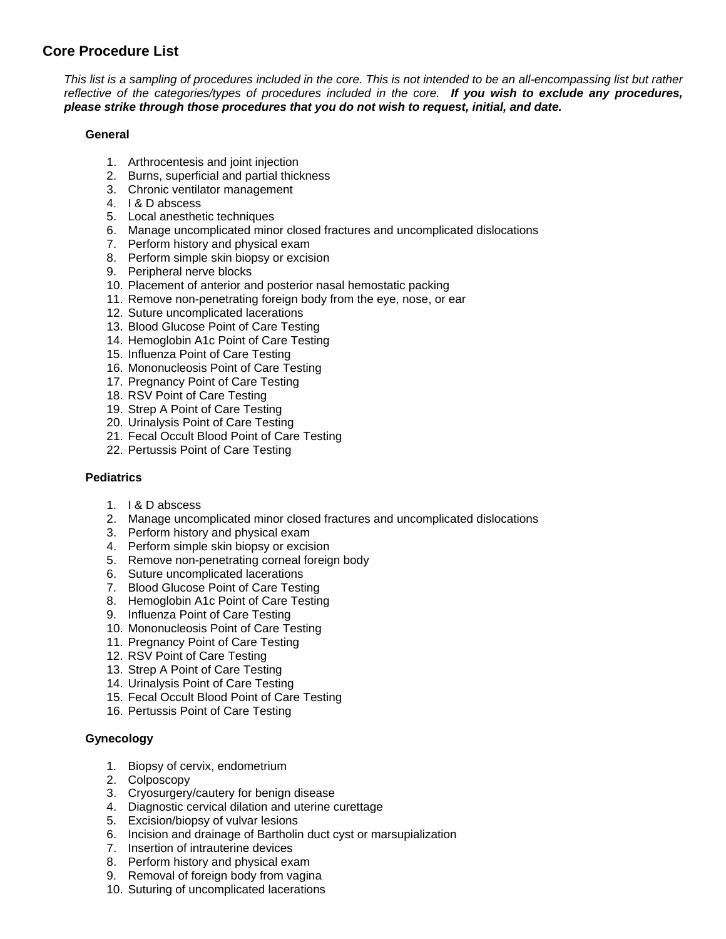# **Core Procedure List**

*This list is a sampling of procedures included in the core. This is not intended to be an all-encompassing list but rather reflective of the categories/types of procedures included in the core. If you wish to exclude any procedures, please strike through those procedures that you do not wish to request, initial, and date.*

## **General**

- 1. Arthrocentesis and joint injection
- 2. Burns, superficial and partial thickness
- 3. Chronic ventilator management
- 4. I & D abscess
- 5. Local anesthetic techniques
- 6. Manage uncomplicated minor closed fractures and uncomplicated dislocations
- 7. Perform history and physical exam
- 8. Perform simple skin biopsy or excision
- 9. Peripheral nerve blocks
- 10. Placement of anterior and posterior nasal hemostatic packing
- 11. Remove non-penetrating foreign body from the eye, nose, or ear
- 12. Suture uncomplicated lacerations
- 13. Blood Glucose Point of Care Testing
- 14. Hemoglobin A1c Point of Care Testing
- 15. Influenza Point of Care Testing
- 16. Mononucleosis Point of Care Testing
- 17. Pregnancy Point of Care Testing
- 18. RSV Point of Care Testing
- 19. Strep A Point of Care Testing
- 20. Urinalysis Point of Care Testing
- 21. Fecal Occult Blood Point of Care Testing
- 22. Pertussis Point of Care Testing

## **Pediatrics**

- 1. I & D abscess
- 2. Manage uncomplicated minor closed fractures and uncomplicated dislocations
- 3. Perform history and physical exam
- 4. Perform simple skin biopsy or excision
- 5. Remove non-penetrating corneal foreign body
- 6. Suture uncomplicated lacerations
- 7. Blood Glucose Point of Care Testing
- 8. Hemoglobin A1c Point of Care Testing
- 9. Influenza Point of Care Testing
- 10. Mononucleosis Point of Care Testing
- 11. Pregnancy Point of Care Testing
- 12. RSV Point of Care Testing
- 13. Strep A Point of Care Testing
- 14. Urinalysis Point of Care Testing
- 15. Fecal Occult Blood Point of Care Testing
- 16. Pertussis Point of Care Testing

## **Gynecology**

- 1. Biopsy of cervix, endometrium
- 2. Colposcopy
- 3. Cryosurgery/cautery for benign disease
- 4. Diagnostic cervical dilation and uterine curettage
- 5. Excision/biopsy of vulvar lesions
- 6. Incision and drainage of Bartholin duct cyst or marsupialization
- 7. Insertion of intrauterine devices
- 8. Perform history and physical exam
- 9. Removal of foreign body from vagina
- 10. Suturing of uncomplicated lacerations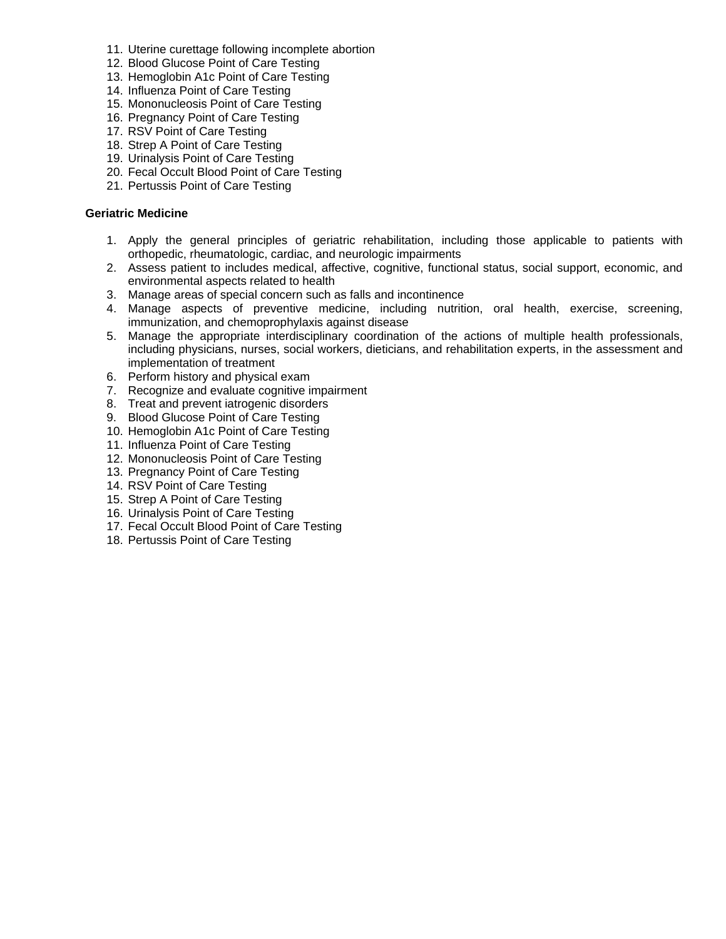- 11. Uterine curettage following incomplete abortion
- 12. Blood Glucose Point of Care Testing
- 13. Hemoglobin A1c Point of Care Testing
- 14. Influenza Point of Care Testing
- 15. Mononucleosis Point of Care Testing
- 16. Pregnancy Point of Care Testing
- 17. RSV Point of Care Testing
- 18. Strep A Point of Care Testing
- 19. Urinalysis Point of Care Testing
- 20. Fecal Occult Blood Point of Care Testing
- 21. Pertussis Point of Care Testing

## **Geriatric Medicine**

- 1. Apply the general principles of geriatric rehabilitation, including those applicable to patients with orthopedic, rheumatologic, cardiac, and neurologic impairments
- 2. Assess patient to includes medical, affective, cognitive, functional status, social support, economic, and environmental aspects related to health
- 3. Manage areas of special concern such as falls and incontinence
- 4. Manage aspects of preventive medicine, including nutrition, oral health, exercise, screening, immunization, and chemoprophylaxis against disease
- 5. Manage the appropriate interdisciplinary coordination of the actions of multiple health professionals, including physicians, nurses, social workers, dieticians, and rehabilitation experts, in the assessment and implementation of treatment
- 6. Perform history and physical exam
- 7. Recognize and evaluate cognitive impairment
- 8. Treat and prevent iatrogenic disorders
- 9. Blood Glucose Point of Care Testing
- 10. Hemoglobin A1c Point of Care Testing
- 11. Influenza Point of Care Testing
- 12. Mononucleosis Point of Care Testing
- 13. Pregnancy Point of Care Testing
- 14. RSV Point of Care Testing
- 15. Strep A Point of Care Testing
- 16. Urinalysis Point of Care Testing
- 17. Fecal Occult Blood Point of Care Testing
- 18. Pertussis Point of Care Testing